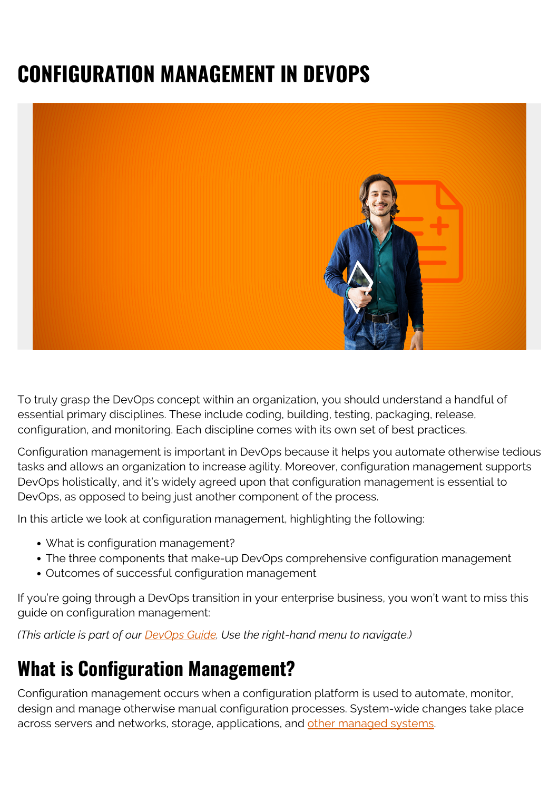# **CONFIGURATION MANAGEMENT IN DEVOPS**



To truly grasp the DevOps concept within an organization, you should understand a handful of essential primary disciplines. These include coding, building, testing, packaging, release, configuration, and monitoring. Each discipline comes with its own set of best practices.

Configuration management is important in DevOps because it helps you automate otherwise tedious tasks and allows an organization to increase agility. Moreover, configuration management supports DevOps holistically, and it's widely agreed upon that configuration management is essential to DevOps, as opposed to being just another component of the process.

In this article we look at configuration management, highlighting the following:

- What is configuration management?
- The three components that make-up DevOps comprehensive configuration management
- Outcomes of successful configuration management

If you're going through a DevOps transition in your enterprise business, you won't want to miss this guide on configuration management:

*(This article is part of our [DevOps Guide](https://blogs.bmc.com/blogs/devops-basics-introduction/). Use the right-hand menu to navigate.)*

# **What is Configuration Management?**

Configuration management occurs when a configuration platform is used to automate, monitor, design and manage otherwise manual configuration processes. System-wide changes take place across servers and networks, storage, applications, and [other managed systems](https://puppet.com/resources/whitepaper/get-started-devops-guide-it-managers).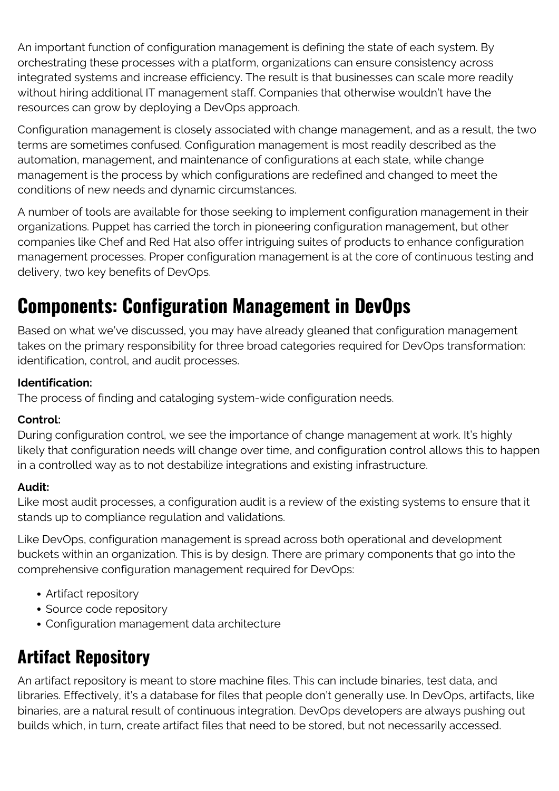An important function of configuration management is defining the state of each system. By orchestrating these processes with a platform, organizations can ensure consistency across integrated systems and increase efficiency. The result is that businesses can scale more readily without hiring additional IT management staff. Companies that otherwise wouldn't have the resources can grow by deploying a DevOps approach.

Configuration management is closely associated with change management, and as a result, the two terms are sometimes confused. Configuration management is most readily described as the automation, management, and maintenance of configurations at each state, while change management is the process by which configurations are redefined and changed to meet the conditions of new needs and dynamic circumstances.

A number of tools are available for those seeking to implement configuration management in their organizations. Puppet has carried the torch in pioneering configuration management, but other companies like Chef and Red Hat also offer intriguing suites of products to enhance configuration management processes. Proper configuration management is at the core of continuous testing and delivery, two key benefits of DevOps.

# **Components: Configuration Management in DevOps**

Based on what we've discussed, you may have already gleaned that configuration management takes on the primary responsibility for three broad categories required for DevOps transformation: identification, control, and audit processes.

#### **Identification:**

The process of finding and cataloging system-wide configuration needs.

#### **Control:**

During configuration control, we see the importance of change management at work. It's highly likely that configuration needs will change over time, and configuration control allows this to happen in a controlled way as to not destabilize integrations and existing infrastructure.

#### **Audit:**

Like most audit processes, a configuration audit is a review of the existing systems to ensure that it stands up to compliance regulation and validations.

Like DevOps, configuration management is spread across both operational and development buckets within an organization. This is by design. There are primary components that go into the comprehensive configuration management required for DevOps:

- Artifact repository
- Source code repository
- Configuration management data architecture

### **Artifact Repository**

An artifact repository is meant to store machine files. This can include binaries, test data, and libraries. Effectively, it's a database for files that people don't generally use. In DevOps, artifacts, like binaries, are a natural result of continuous integration. DevOps developers are always pushing out builds which, in turn, create artifact files that need to be stored, but not necessarily accessed.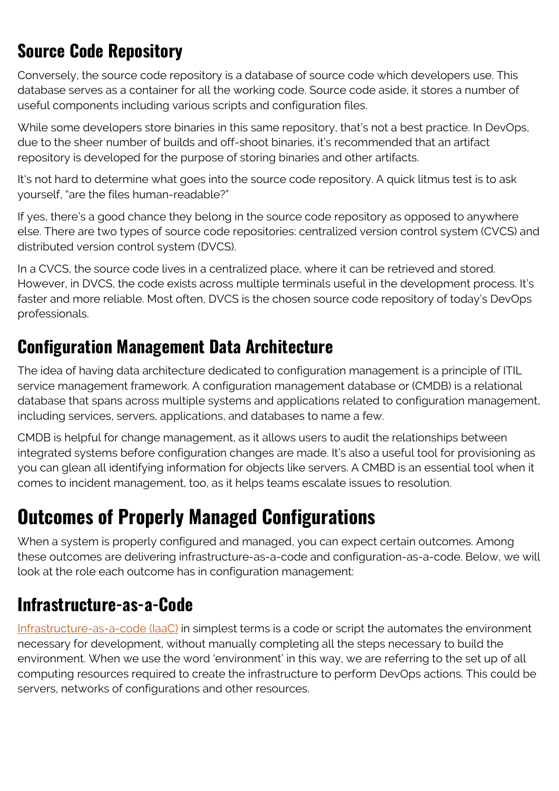### **Source Code Repository**

Conversely, the source code repository is a database of source code which developers use. This database serves as a container for all the working code. Source code aside, it stores a number of useful components including various scripts and configuration files.

While some developers store binaries in this same repository, that's not a best practice. In DevOps, due to the sheer number of builds and off-shoot binaries, it's recommended that an artifact repository is developed for the purpose of storing binaries and other artifacts.

It's not hard to determine what goes into the source code repository. A quick litmus test is to ask yourself, "are the files human-readable?"

If yes, there's a good chance they belong in the source code repository as opposed to anywhere else. There are two types of source code repositories: centralized version control system (CVCS) and distributed version control system (DVCS).

In a CVCS, the source code lives in a centralized place, where it can be retrieved and stored. However, in DVCS, the code exists across multiple terminals useful in the development process. It's faster and more reliable. Most often, DVCS is the chosen source code repository of today's DevOps professionals.

#### **Configuration Management Data Architecture**

The idea of having data architecture dedicated to configuration management is a principle of ITIL service management framework. A configuration management database or (CMDB) is a relational database that spans across multiple systems and applications related to configuration management, including services, servers, applications, and databases to name a few.

CMDB is helpful for change management, as it allows users to audit the relationships between integrated systems before configuration changes are made. It's also a useful tool for provisioning as you can glean all identifying information for objects like servers. A CMBD is an essential tool when it comes to incident management, too, as it helps teams escalate issues to resolution.

# **Outcomes of Properly Managed Configurations**

When a system is properly configured and managed, you can expect certain outcomes. Among these outcomes are delivering infrastructure-as-a-code and configuration-as-a-code. Below, we will look at the role each outcome has in configuration management:

#### **Infrastructure-as-a-Code**

[Infrastructure-as-a-code \(IaaC\)](https://blogs.bmc.com/blogs/infrastructure-as-code/) in simplest terms is a code or script the automates the environment necessary for development, without manually completing all the steps necessary to build the environment. When we use the word 'environment' in this way, we are referring to the set up of all computing resources required to create the infrastructure to perform DevOps actions. This could be servers, networks of configurations and other resources.